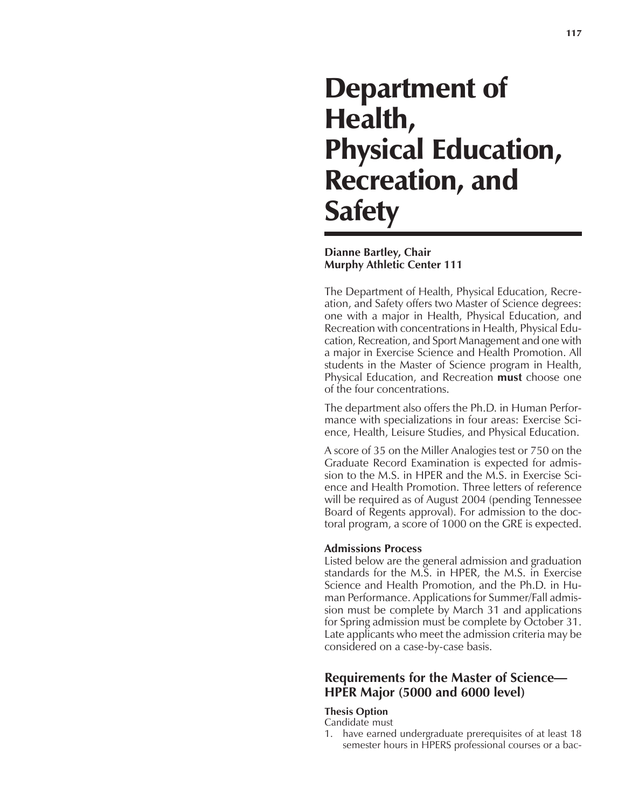# Department of Health, Physical Education, Recreation, and **Safety**

## **Dianne Bartley, Chair Murphy Athletic Center 111**

The Department of Health, Physical Education, Recreation, and Safety offers two Master of Science degrees: one with a major in Health, Physical Education, and Recreation with concentrations in Health, Physical Education, Recreation, and Sport Management and one with a major in Exercise Science and Health Promotion. All students in the Master of Science program in Health, Physical Education, and Recreation **must** choose one of the four concentrations.

The department also offers the Ph.D. in Human Performance with specializations in four areas: Exercise Science, Health, Leisure Studies, and Physical Education.

A score of 35 on the Miller Analogies test or 750 on the Graduate Record Examination is expected for admission to the M.S. in HPER and the M.S. in Exercise Science and Health Promotion. Three letters of reference will be required as of August 2004 (pending Tennessee Board of Regents approval). For admission to the doctoral program, a score of 1000 on the GRE is expected.

## **Admissions Process**

Listed below are the general admission and graduation standards for the M.S. in HPER, the M.S. in Exercise Science and Health Promotion, and the Ph.D. in Human Performance. Applications for Summer/Fall admission must be complete by March 31 and applications for Spring admission must be complete by October 31. Late applicants who meet the admission criteria may be considered on a case-by-case basis.

# **Requirements for the Master of Science— HPER Major (5000 and 6000 level)**

## **Thesis Option**

## Candidate must

1. have earned undergraduate prerequisites of at least 18 semester hours in HPERS professional courses or a bac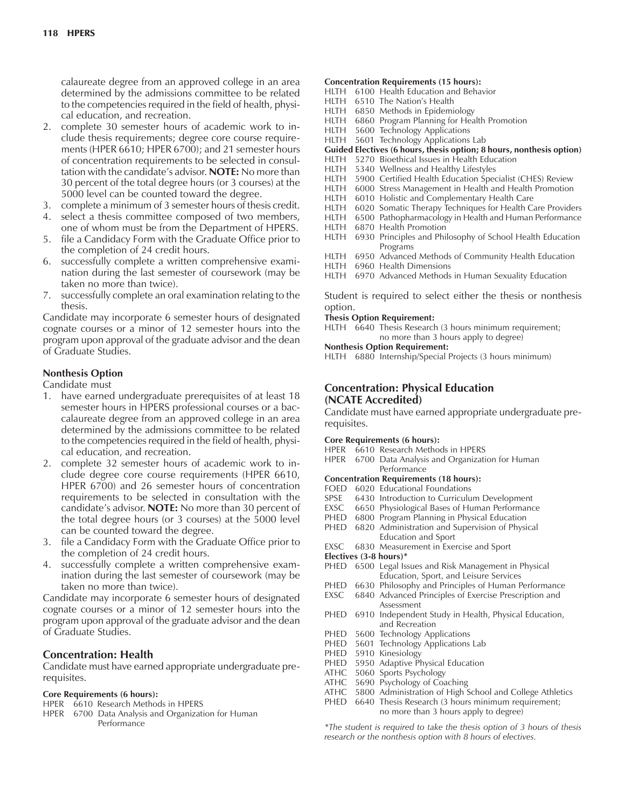calaureate degree from an approved college in an area determined by the admissions committee to be related to the competencies required in the field of health, physical education, and recreation.

- 2. complete 30 semester hours of academic work to include thesis requirements; degree core course requirements (HPER 6610; HPER 6700); and 21 semester hours of concentration requirements to be selected in consultation with the candidate's advisor. **NOTE:** No more than 30 percent of the total degree hours (or 3 courses) at the 5000 level can be counted toward the degree.
- 3. complete a minimum of 3 semester hours of thesis credit.
- 4. select a thesis committee composed of two members, one of whom must be from the Department of HPERS.
- 5. file a Candidacy Form with the Graduate Office prior to the completion of 24 credit hours.
- 6. successfully complete a written comprehensive examination during the last semester of coursework (may be taken no more than twice).
- 7. successfully complete an oral examination relating to the thesis.

Candidate may incorporate 6 semester hours of designated cognate courses or a minor of 12 semester hours into the program upon approval of the graduate advisor and the dean of Graduate Studies.

## **Nonthesis Option**

Candidate must

- 1. have earned undergraduate prerequisites of at least 18 semester hours in HPERS professional courses or a baccalaureate degree from an approved college in an area determined by the admissions committee to be related to the competencies required in the field of health, physical education, and recreation.
- 2. complete 32 semester hours of academic work to include degree core course requirements (HPER 6610, HPER 6700) and 26 semester hours of concentration requirements to be selected in consultation with the candidateís advisor. **NOTE:** No more than 30 percent of the total degree hours (or 3 courses) at the 5000 level can be counted toward the degree.
- 3. file a Candidacy Form with the Graduate Office prior to the completion of 24 credit hours.
- 4. successfully complete a written comprehensive examination during the last semester of coursework (may be taken no more than twice).

Candidate may incorporate 6 semester hours of designated cognate courses or a minor of 12 semester hours into the program upon approval of the graduate advisor and the dean of Graduate Studies.

## **Concentration: Health**

Candidate must have earned appropriate undergraduate prerequisites.

#### **Core Requirements (6 hours):**

- HPER 6610 Research Methods in HPERS
- HPER 6700 Data Analysis and Organization for Human Performance

#### **Concentration Requirements (15 hours):**

- HLTH 6100 Health Education and Behavior
- HLTH 6510 The Nation's Health
- HLTH 6850 Methods in Epidemiology
- HLTH 6860 Program Planning for Health Promotion
- HLTH 5600 Technology Applications
- HLTH 5601 Technology Applications Lab

#### **Guided Electives (6 hours, thesis option; 8 hours, nonthesis option)**

- HLTH 5270 Bioethical Issues in Health Education
- HLTH 5340 Wellness and Healthy Lifestyles
- HLTH 5900 Certified Health Education Specialist (CHES) Review
- 6000 Stress Management in Health and Health Promotion
- HLTH 6010 Holistic and Complementary Health Care
- HLTH 6020 Somatic Therapy Techniques for Health Care Providers<br>HLTH 6500 Pathopharmacology in Health and Human Performance
- 6500 Pathopharmacology in Health and Human Performance
- HLTH 6870 Health Promotion
- HLTH 6930 Principles and Philosophy of School Health Education Programs
- HLTH 6950 Advanced Methods of Community Health Education
- HLTH 6960 Health Dimensions

HLTH 6970 Advanced Methods in Human Sexuality Education

Student is required to select either the thesis or nonthesis option.

#### **Thesis Option Requirement:**

HLTH 6640 Thesis Research (3 hours minimum requirement; no more than 3 hours apply to degree)

#### **Nonthesis Option Requirement:**

HLTH 6880 Internship/Special Projects (3 hours minimum)

## **Concentration: Physical Education (NCATE Accredited)**

Candidate must have earned appropriate undergraduate prerequisites.

#### **Core Requirements (6 hours):**

- HPER 6610 Research Methods in HPERS
- HPER 6700 Data Analysis and Organization for Human Performance
- **Concentration Requirements (18 hours):**
- FOED 6020 Educational Foundations<br>SPSE 6430 Introduction to Curriculu
- 6430 Introduction to Curriculum Development
- EXSC 6650 Physiological Bases of Human Performance<br>PHED 6800 Program Planning in Physical Education
- 6800 Program Planning in Physical Education
- PHED 6820 Administration and Supervision of Physical Education and Sport
- EXSC 6830 Measurement in Exercise and Sport
- **Electives (3-8 hours)\***
- PHED 6500 Legal Issues and Risk Management in Physical Education, Sport, and Leisure Services
- PHED 6630 Philosophy and Principles of Human Performance
- EXSC 6840 Advanced Principles of Exercise Prescription and Assessment
- PHED 6910 Independent Study in Health, Physical Education, and Recreation
- PHED 5600 Technology Applications
- PHED 5601 Technology Applications Lab
- PHED 5910 Kinesiology<br>PHED 5950 Adaptive Pl
- 5950 Adaptive Physical Education
- ATHC 5060 Sports Psychology
- ATHC 5690 Psychology of Coaching
- ATHC 5800 Administration of High School and College Athletics
- PHED 6640 Thesis Research (3 hours minimum requirement; no more than 3 hours apply to degree)

*\*The student is required to take the thesis option of 3 hours of thesis research or the nonthesis option with 8 hours of electives.*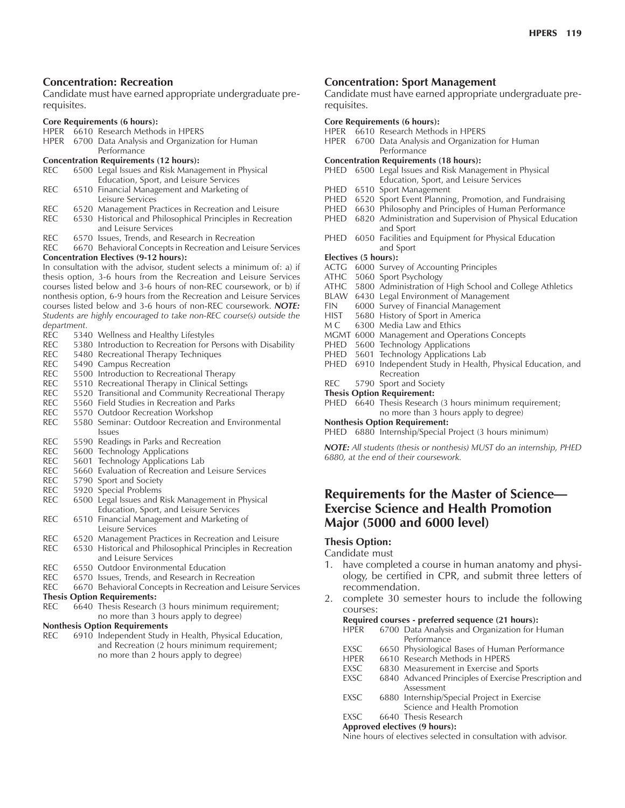## **Concentration: Recreation**

Candidate must have earned appropriate undergraduate prerequisites.

#### **Core Requirements (6 hours):**

- HPER 6610 Research Methods in HPERS
- HPER 6700 Data Analysis and Organization for Human **Performance**

#### **Concentration Requirements (12 hours):**

| REC . | 6500 Legal Issues and Risk Management in Physical |
|-------|---------------------------------------------------|
|       | Education, Sport, and Leisure Services            |
| REC.  | 6510 Financial Management and Marketing of        |
|       | Leisure Services                                  |

- 
- REC 6520 Management Practices in Recreation and Leisure<br>REC 6530 Historical and Philosophical Principles in Recreat 6530 Historical and Philosophical Principles in Recreation and Leisure Services
- REC 6570 Issues, Trends, and Research in Recreation
- REC 6670 Behavioral Concepts in Recreation and Leisure Services **Concentration Electives (9-12 hours):**

In consultation with the advisor, student selects a minimum of: a) if thesis option, 3-6 hours from the Recreation and Leisure Services courses listed below and 3-6 hours of non-REC coursework, or b) if nonthesis option, 6-9 hours from the Recreation and Leisure Services courses listed below and 3-6 hours of non-REC coursework. *NOTE: Students are highly encouraged to take non-REC course(s) outside the department.*

- REC 5340 Wellness and Healthy Lifestyles<br>REC 5380 Introduction to Recreation for P
- 5380 Introduction to Recreation for Persons with Disability
- REC 5480 Recreational Therapy Techniques<br>REC 5490 Campus Recreation
- 5490 Campus Recreation
- REC 5500 Introduction to Recreational Therapy
- REC 5510 Recreational Therapy in Clinical Settings
- REC 5520 Transitional and Community Recreational Therapy<br>REC 5560 Field Studies in Recreation and Parks
- 5560 Field Studies in Recreation and Parks
- REC 5570 Outdoor Recreation Workshop
- REC 5580 Seminar: Outdoor Recreation and Environmental Issues
- REC 5590 Readings in Parks and Recreation
- REC 5600 Technology Applications<br>REC 5601 Technology Applications
- 5601 Technology Applications Lab
- REC 5660 Evaluation of Recreation and Leisure Services
- REC 5790 Sport and Society
- REC 5920 Special Problems
- REC 6500 Legal Issues and Risk Management in Physical Education, Sport, and Leisure Services
- REC 6510 Financial Management and Marketing of Leisure Services
- REC 6520 Management Practices in Recreation and Leisure<br>REC 6530 Historical and Philosophical Principles in Recreat 6530 Historical and Philosophical Principles in Recreation
- and Leisure Services
- REC 6550 Outdoor Environmental Education<br>REC 6570 Issues. Trends. and Research in Rec
- 6570 Issues, Trends, and Research in Recreation
- REC 6670 Behavioral Concepts in Recreation and Leisure Services
- **Thesis Option Requirements:**<br>REC 6640 Thesis Research
- 6640 Thesis Research (3 hours minimum requirement; no more than 3 hours apply to degree)

#### **Nonthesis Option Requirements**

REC 6910 Independent Study in Health, Physical Education, and Recreation (2 hours minimum requirement; no more than 2 hours apply to degree)

## **Concentration: Sport Management**

Candidate must have earned appropriate undergraduate prerequisites.

#### **Core Requirements (6 hours):**

- HPER 6610 Research Methods in HPERS
- HPER 6700 Data Analysis and Organization for Human **Performance**
- **Concentration Requirements (18 hours):**
- PHED 6500 Legal Issues and Risk Management in Physical Education, Sport, and Leisure Services
- PHED 6510 Sport Management
- PHED 6520 Sport Event Planning, Promotion, and Fundraising
- PHED 6630 Philosophy and Principles of Human Performance
- PHED 6820 Administration and Supervision of Physical Education and Sport
- PHED 6050 Facilities and Equipment for Physical Education and Sport

#### **Electives (5 hours):**

- ACTG 6000 Survey of Accounting Principles
- ATHC 5060 Sport Psychology
- ATHC 5800 Administration of High School and College Athletics
- BLAW 6430 Legal Environment of Management
- FIN 6000 Survey of Financial Management<br>HIST 5680 History of Sport in America
- 5680 History of Sport in America
- M C 6300 Media Law and Ethics
- MGMT 6000 Management and Operations Concepts
- PHED 5600 Technology Applications
- PHED 5601 Technology Applications Lab
- PHED 6910 Independent Study in Health, Physical Education, and Recreation
- REC 5790 Sport and Society
- **Thesis Option Requirement:**
- PHED 6640 Thesis Research (3 hours minimum requirement; no more than 3 hours apply to degree)

**Nonthesis Option Requirement:**

PHED 6880 Internship/Special Project (3 hours minimum)

*NOTE: All students (thesis or nonthesis) MUST do an internship, PHED 6880, at the end of their coursework.*

# **Requirements for the Master of Science— Exercise Science and Health Promotion Major (5000 and 6000 level)**

#### **Thesis Option:**

#### Candidate must

- 1. have completed a course in human anatomy and physiology, be certified in CPR, and submit three letters of recommendation.
- 2. complete 30 semester hours to include the following courses:

#### **Required courses - preferred sequence (21 hours):**

HPER 6700 Data Analysis and Organization for Human **Performance** 

- EXSC 6650 Physiological Bases of Human Performance
- HPER 6610 Research Methods in HPERS<br>EXSC 6830 Measurement in Exercise and
- EXSC 6830 Measurement in Exercise and Sports<br>EXSC 6840 Advanced Principles of Exercise Presc
- 6840 Advanced Principles of Exercise Prescription and Assessment
- EXSC 6880 Internship/Special Project in Exercise Science and Health Promotion
- EXSC 6640 Thesis Research

#### **Approved electives (9 hours):**

Nine hours of electives selected in consultation with advisor.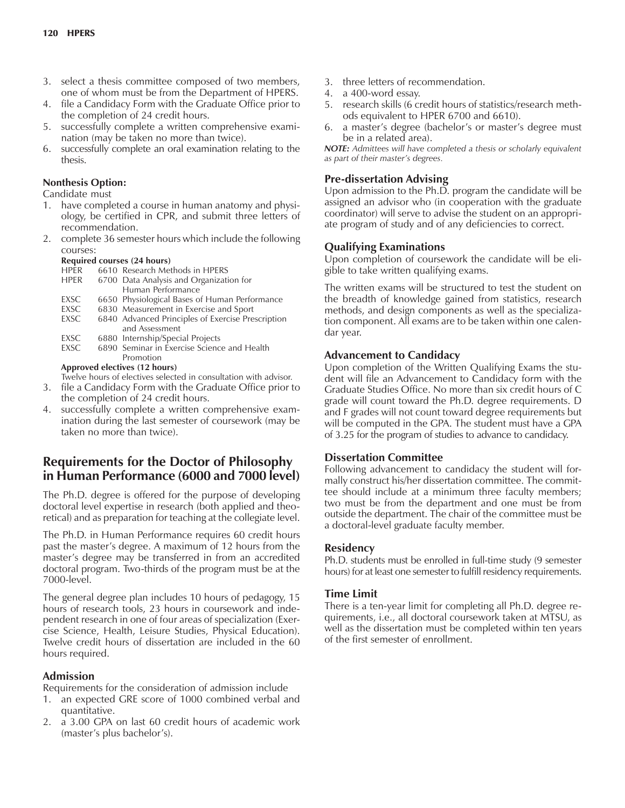- 3. select a thesis committee composed of two members, one of whom must be from the Department of HPERS.
- 4. file a Candidacy Form with the Graduate Office prior to the completion of 24 credit hours.
- 5. successfully complete a written comprehensive examination (may be taken no more than twice).
- 6. successfully complete an oral examination relating to the thesis.

## **Nonthesis Option:**

Candidate must

- 1. have completed a course in human anatomy and physiology, be certified in CPR, and submit three letters of recommendation.
- 2. complete 36 semester hours which include the following courses:

#### **Required courses (24 hours)**

HPER 6610 Research Methods in HPERS

#### HPER 6700 Data Analysis and Organization for Human Performance

- EXSC 6650 Physiological Bases of Human Performance
- 
- EXSC 6830 Measurement in Exercise and Sport<br>EXSC 6840 Advanced Principles of Exercise Pre 6840 Advanced Principles of Exercise Prescription and Assessment
- EXSC 6880 Internship/Special Projects<br>EXSC 6890 Seminar in Exercise Science
- 6890 Seminar in Exercise Science and Health Promotion

#### **Approved electives (12 hours)**

Twelve hours of electives selected in consultation with advisor.

- 3. file a Candidacy Form with the Graduate Office prior to the completion of 24 credit hours.
- 4. successfully complete a written comprehensive examination during the last semester of coursework (may be taken no more than twice).

# **Requirements for the Doctor of Philosophy in Human Performance (6000 and 7000 level)**

The Ph.D. degree is offered for the purpose of developing doctoral level expertise in research (both applied and theoretical) and as preparation for teaching at the collegiate level.

The Ph.D. in Human Performance requires 60 credit hours past the master's degree. A maximum of 12 hours from the master's degree may be transferred in from an accredited doctoral program. Two-thirds of the program must be at the 7000-level.

The general degree plan includes 10 hours of pedagogy, 15 hours of research tools, 23 hours in coursework and independent research in one of four areas of specialization (Exercise Science, Health, Leisure Studies, Physical Education). Twelve credit hours of dissertation are included in the 60 hours required.

## **Admission**

Requirements for the consideration of admission include

- 1. an expected GRE score of 1000 combined verbal and quantitative.
- 2. a 3.00 GPA on last 60 credit hours of academic work (master's plus bachelor's).
- 3. three letters of recommendation.
- 4. a 400-word essay.
- 5. research skills (6 credit hours of statistics/research methods equivalent to HPER 6700 and 6610).
- 6. a master's degree (bachelor's or master's degree must be in a related area).

*NOTE: Admittees will have completed a thesis or scholarly equivalent as part of their masterís degrees.*

# **Pre-dissertation Advising**

Upon admission to the Ph.D. program the candidate will be assigned an advisor who (in cooperation with the graduate coordinator) will serve to advise the student on an appropriate program of study and of any deficiencies to correct.

## **Qualifying Examinations**

Upon completion of coursework the candidate will be eligible to take written qualifying exams.

The written exams will be structured to test the student on the breadth of knowledge gained from statistics, research methods, and design components as well as the specialization component. All exams are to be taken within one calendar year.

## **Advancement to Candidacy**

Upon completion of the Written Qualifying Exams the student will file an Advancement to Candidacy form with the Graduate Studies Office. No more than six credit hours of C grade will count toward the Ph.D. degree requirements. D and F grades will not count toward degree requirements but will be computed in the GPA. The student must have a GPA of 3.25 for the program of studies to advance to candidacy.

## **Dissertation Committee**

Following advancement to candidacy the student will formally construct his/her dissertation committee. The committee should include at a minimum three faculty members; two must be from the department and one must be from outside the department. The chair of the committee must be a doctoral-level graduate faculty member.

## **Residency**

Ph.D. students must be enrolled in full-time study (9 semester hours) for at least one semester to fulfill residency requirements.

## **Time Limit**

There is a ten-year limit for completing all Ph.D. degree requirements, i.e., all doctoral coursework taken at MTSU, as well as the dissertation must be completed within ten years of the first semester of enrollment.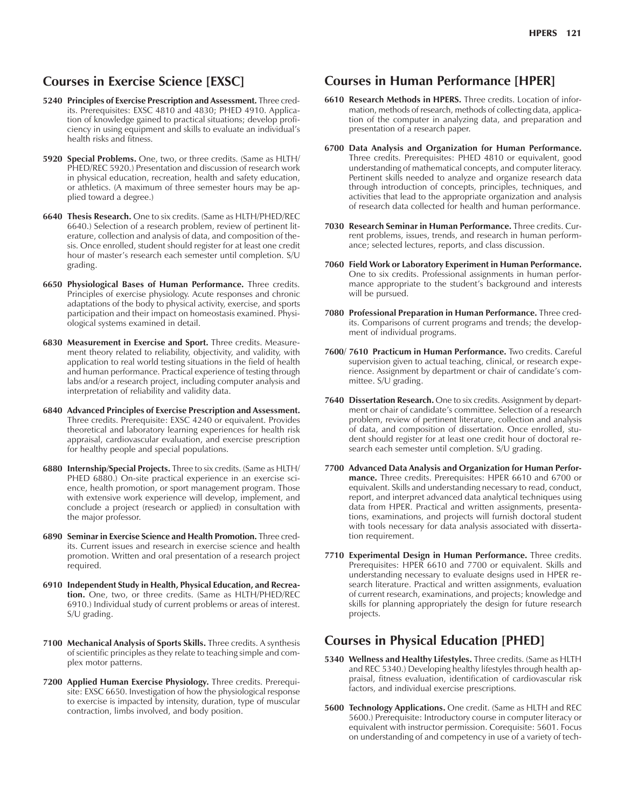# **Courses in Exercise Science [EXSC]**

- **5240 Principles of Exercise Prescription and Assessment.** Three credits. Prerequisites: EXSC 4810 and 4830; PHED 4910. Application of knowledge gained to practical situations; develop proficiency in using equipment and skills to evaluate an individual's health risks and fitness.
- **5920 Special Problems.** One, two, or three credits. (Same as HLTH/ PHED/REC 5920.) Presentation and discussion of research work in physical education, recreation, health and safety education, or athletics. (A maximum of three semester hours may be applied toward a degree.)
- **6640 Thesis Research.** One to six credits. (Same as HLTH/PHED/REC 6640.) Selection of a research problem, review of pertinent literature, collection and analysis of data, and composition of thesis. Once enrolled, student should register for at least one credit hour of master's research each semester until completion. S/U grading.
- **6650 Physiological Bases of Human Performance.** Three credits. Principles of exercise physiology. Acute responses and chronic adaptations of the body to physical activity, exercise, and sports participation and their impact on homeostasis examined. Physiological systems examined in detail.
- **6830 Measurement in Exercise and Sport.** Three credits. Measurement theory related to reliability, objectivity, and validity, with application to real world testing situations in the field of health and human performance. Practical experience of testing through labs and/or a research project, including computer analysis and interpretation of reliability and validity data.
- **6840 Advanced Principles of Exercise Prescription and Assessment.** Three credits. Prerequisite: EXSC 4240 or equivalent. Provides theoretical and laboratory learning experiences for health risk appraisal, cardiovascular evaluation, and exercise prescription for healthy people and special populations.
- **6880 Internship/Special Projects.** Three to six credits. (Same as HLTH/ PHED 6880.) On-site practical experience in an exercise science, health promotion, or sport management program. Those with extensive work experience will develop, implement, and conclude a project (research or applied) in consultation with the major professor.
- **6890 Seminar in Exercise Science and Health Promotion.** Three credits. Current issues and research in exercise science and health promotion. Written and oral presentation of a research project required.
- **6910 Independent Study in Health, Physical Education, and Recreation.** One, two, or three credits. (Same as HLTH/PHED/REC 6910.) Individual study of current problems or areas of interest. S/U grading.
- **7100 Mechanical Analysis of Sports Skills.** Three credits. A synthesis of scientific principles as they relate to teaching simple and complex motor patterns.
- **7200 Applied Human Exercise Physiology.** Three credits. Prerequisite: EXSC 6650. Investigation of how the physiological response to exercise is impacted by intensity, duration, type of muscular contraction, limbs involved, and body position.

# **Courses in Human Performance [HPER]**

- **6610 Research Methods in HPERS.** Three credits. Location of information, methods of research, methods of collecting data, application of the computer in analyzing data, and preparation and presentation of a research paper.
- **6700 Data Analysis and Organization for Human Performance.** Three credits. Prerequisites: PHED 4810 or equivalent, good understanding of mathematical concepts, and computer literacy. Pertinent skills needed to analyze and organize research data through introduction of concepts, principles, techniques, and activities that lead to the appropriate organization and analysis of research data collected for health and human performance.
- **7030 Research Seminar in Human Performance.** Three credits. Current problems, issues, trends, and research in human performance; selected lectures, reports, and class discussion.
- **7060 Field Work or Laboratory Experiment in Human Performance.** One to six credits. Professional assignments in human performance appropriate to the student's background and interests will be pursued.
- **7080 Professional Preparation in Human Performance.** Three credits. Comparisons of current programs and trends; the development of individual programs.
- **7600/ 7610 Practicum in Human Performance.** Two credits. Careful supervision given to actual teaching, clinical, or research experience. Assignment by department or chair of candidate's committee. S/U grading.
- **7640 Dissertation Research.** One to six credits. Assignment by department or chair of candidate's committee. Selection of a research problem, review of pertinent literature, collection and analysis of data, and composition of dissertation. Once enrolled, student should register for at least one credit hour of doctoral research each semester until completion. S/U grading.
- **7700 Advanced Data Analysis and Organization for Human Performance.** Three credits. Prerequisites: HPER 6610 and 6700 or equivalent. Skills and understanding necessary to read, conduct, report, and interpret advanced data analytical techniques using data from HPER. Practical and written assignments, presentations, examinations, and projects will furnish doctoral student with tools necessary for data analysis associated with dissertation requirement.
- **7710 Experimental Design in Human Performance.** Three credits. Prerequisites: HPER 6610 and 7700 or equivalent. Skills and understanding necessary to evaluate designs used in HPER research literature. Practical and written assignments, evaluation of current research, examinations, and projects; knowledge and skills for planning appropriately the design for future research projects.

# **Courses in Physical Education [PHED]**

- **5340 Wellness and Healthy Lifestyles.** Three credits. (Same as HLTH and REC 5340.) Developing healthy lifestyles through health appraisal, fitness evaluation, identification of cardiovascular risk factors, and individual exercise prescriptions.
- **5600 Technology Applications.** One credit. (Same as HLTH and REC 5600.) Prerequisite: Introductory course in computer literacy or equivalent with instructor permission. Corequisite: 5601. Focus on understanding of and competency in use of a variety of tech-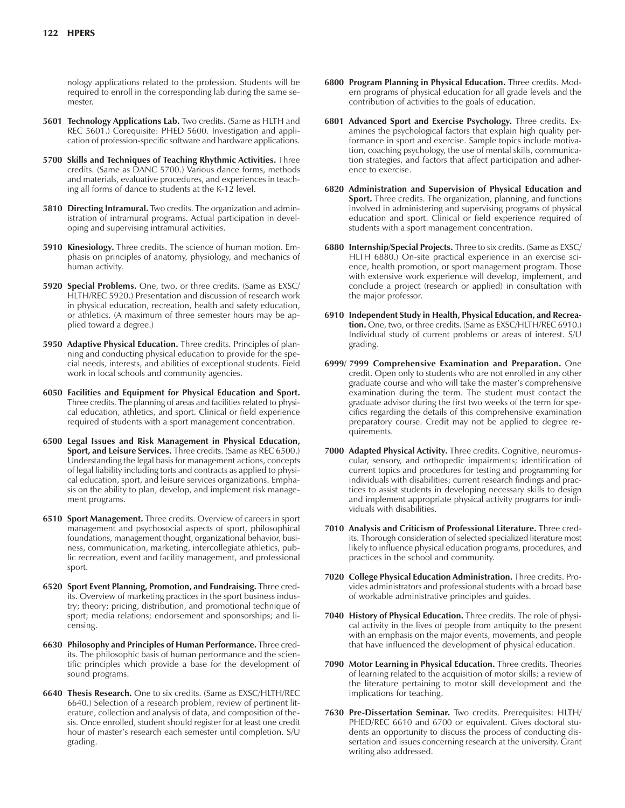nology applications related to the profession. Students will be required to enroll in the corresponding lab during the same semester.

- **5601 Technology Applications Lab.** Two credits. (Same as HLTH and REC 5601.) Corequisite: PHED 5600. Investigation and application of profession-specific software and hardware applications.
- **5700 Skills and Techniques of Teaching Rhythmic Activities.** Three credits. (Same as DANC 5700.) Various dance forms, methods and materials, evaluative procedures, and experiences in teaching all forms of dance to students at the K-12 level.
- **5810 Directing Intramural.** Two credits. The organization and administration of intramural programs. Actual participation in developing and supervising intramural activities.
- **5910 Kinesiology.** Three credits. The science of human motion. Emphasis on principles of anatomy, physiology, and mechanics of human activity.
- **5920 Special Problems.** One, two, or three credits. (Same as EXSC/ HLTH/REC 5920.) Presentation and discussion of research work in physical education, recreation, health and safety education, or athletics. (A maximum of three semester hours may be applied toward a degree.)
- **5950 Adaptive Physical Education.** Three credits. Principles of planning and conducting physical education to provide for the special needs, interests, and abilities of exceptional students. Field work in local schools and community agencies.
- **6050 Facilities and Equipment for Physical Education and Sport.** Three credits. The planning of areas and facilities related to physical education, athletics, and sport. Clinical or field experience required of students with a sport management concentration.
- **6500 Legal Issues and Risk Management in Physical Education, Sport, and Leisure Services.** Three credits. (Same as REC 6500.) Understanding the legal basis for management actions, concepts of legal liability including torts and contracts as applied to physical education, sport, and leisure services organizations. Emphasis on the ability to plan, develop, and implement risk management programs.
- **6510 Sport Management.** Three credits. Overview of careers in sport management and psychosocial aspects of sport, philosophical foundations, management thought, organizational behavior, business, communication, marketing, intercollegiate athletics, public recreation, event and facility management, and professional sport.
- **6520 Sport Event Planning, Promotion, and Fundraising.** Three credits. Overview of marketing practices in the sport business industry; theory; pricing, distribution, and promotional technique of sport; media relations; endorsement and sponsorships; and licensing.
- **6630 Philosophy and Principles of Human Performance.** Three credits. The philosophic basis of human performance and the scientific principles which provide a base for the development of sound programs.
- **6640 Thesis Research.** One to six credits. (Same as EXSC/HLTH/REC 6640.) Selection of a research problem, review of pertinent literature, collection and analysis of data, and composition of thesis. Once enrolled, student should register for at least one credit hour of master's research each semester until completion. S/U grading.
- **6800 Program Planning in Physical Education.** Three credits. Modern programs of physical education for all grade levels and the contribution of activities to the goals of education.
- **6801 Advanced Sport and Exercise Psychology.** Three credits. Examines the psychological factors that explain high quality performance in sport and exercise. Sample topics include motivation, coaching psychology, the use of mental skills, communication strategies, and factors that affect participation and adherence to exercise.
- **6820 Administration and Supervision of Physical Education and Sport.** Three credits. The organization, planning, and functions involved in administering and supervising programs of physical education and sport. Clinical or field experience required of students with a sport management concentration.
- **6880 Internship/Special Projects.** Three to six credits. (Same as EXSC/ HLTH 6880.) On-site practical experience in an exercise science, health promotion, or sport management program. Those with extensive work experience will develop, implement, and conclude a project (research or applied) in consultation with the major professor.
- **6910 Independent Study in Health, Physical Education, and Recreation.** One, two, or three credits. (Same as EXSC/HLTH/REC 6910.) Individual study of current problems or areas of interest. S/U grading.
- **6999/ 7999 Comprehensive Examination and Preparation.** One credit. Open only to students who are not enrolled in any other graduate course and who will take the master's comprehensive examination during the term. The student must contact the graduate advisor during the first two weeks of the term for specifics regarding the details of this comprehensive examination preparatory course. Credit may not be applied to degree requirements.
- **7000 Adapted Physical Activity.** Three credits. Cognitive, neuromuscular, sensory, and orthopedic impairments; identification of current topics and procedures for testing and programming for individuals with disabilities; current research findings and practices to assist students in developing necessary skills to design and implement appropriate physical activity programs for individuals with disabilities.
- **7010 Analysis and Criticism of Professional Literature.** Three credits. Thorough consideration of selected specialized literature most likely to influence physical education programs, procedures, and practices in the school and community.
- **7020 College Physical Education Administration.** Three credits. Provides administrators and professional students with a broad base of workable administrative principles and guides.
- **7040 History of Physical Education.** Three credits. The role of physical activity in the lives of people from antiquity to the present with an emphasis on the major events, movements, and people that have influenced the development of physical education.
- **7090 Motor Learning in Physical Education.** Three credits. Theories of learning related to the acquisition of motor skills; a review of the literature pertaining to motor skill development and the implications for teaching.
- **7630 Pre-Dissertation Seminar.** Two credits. Prerequisites: HLTH/ PHED/REC 6610 and 6700 or equivalent. Gives doctoral students an opportunity to discuss the process of conducting dissertation and issues concerning research at the university. Grant writing also addressed.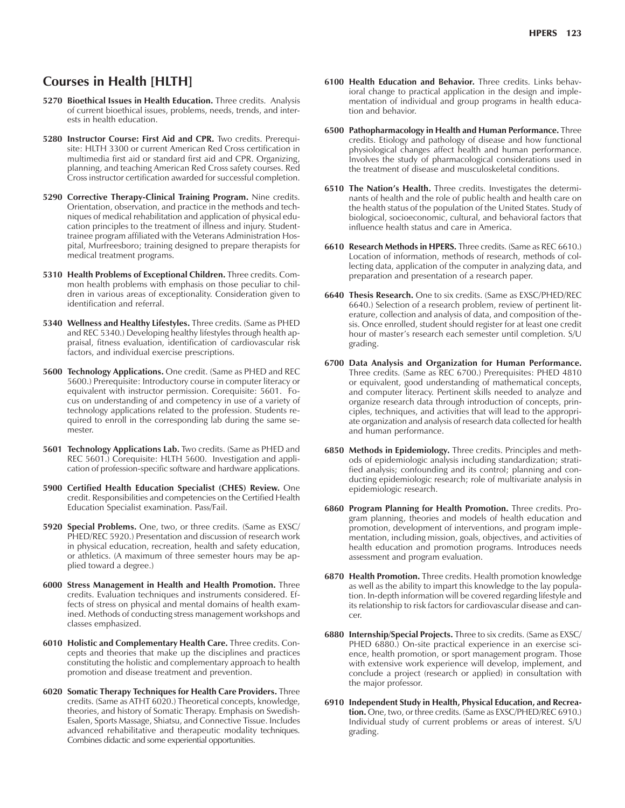# **Courses in Health [HLTH]**

- **5270 Bioethical Issues in Health Education.** Three credits. Analysis of current bioethical issues, problems, needs, trends, and interests in health education.
- **5280 Instructor Course: First Aid and CPR.** Two credits. Prerequisite: HLTH 3300 or current American Red Cross certification in multimedia first aid or standard first aid and CPR. Organizing, planning, and teaching American Red Cross safety courses. Red Cross instructor certification awarded for successful completion.
- **5290 Corrective Therapy-Clinical Training Program.** Nine credits. Orientation, observation, and practice in the methods and techniques of medical rehabilitation and application of physical education principles to the treatment of illness and injury. Studenttrainee program affiliated with the Veterans Administration Hospital, Murfreesboro; training designed to prepare therapists for medical treatment programs.
- **5310 Health Problems of Exceptional Children.** Three credits. Common health problems with emphasis on those peculiar to children in various areas of exceptionality. Consideration given to identification and referral.
- **5340 Wellness and Healthy Lifestyles.** Three credits. (Same as PHED and REC 5340.) Developing healthy lifestyles through health appraisal, fitness evaluation, identification of cardiovascular risk factors, and individual exercise prescriptions.
- **5600 Technology Applications.** One credit. (Same as PHED and REC 5600.) Prerequisite: Introductory course in computer literacy or equivalent with instructor permission. Corequisite: 5601. Focus on understanding of and competency in use of a variety of technology applications related to the profession. Students required to enroll in the corresponding lab during the same semester.
- **5601 Technology Applications Lab.** Two credits. (Same as PHED and REC 5601.) Corequisite: HLTH 5600. Investigation and application of profession-specific software and hardware applications.
- **5900 Certified Health Education Specialist (CHES) Review.** One credit. Responsibilities and competencies on the Certified Health Education Specialist examination. Pass/Fail.
- **5920 Special Problems.** One, two, or three credits. (Same as EXSC/ PHED/REC 5920.) Presentation and discussion of research work in physical education, recreation, health and safety education, or athletics. (A maximum of three semester hours may be applied toward a degree.)
- **6000 Stress Management in Health and Health Promotion.** Three credits. Evaluation techniques and instruments considered. Effects of stress on physical and mental domains of health examined. Methods of conducting stress management workshops and classes emphasized.
- **6010 Holistic and Complementary Health Care.** Three credits. Concepts and theories that make up the disciplines and practices constituting the holistic and complementary approach to health promotion and disease treatment and prevention.
- **6020 Somatic Therapy Techniques for Health Care Providers.** Three credits. (Same as ATHT 6020.) Theoretical concepts, knowledge, theories, and history of Somatic Therapy. Emphasis on Swedish-Esalen, Sports Massage, Shiatsu, and Connective Tissue. Includes advanced rehabilitative and therapeutic modality techniques. Combines didactic and some experiential opportunities.
- **6100 Health Education and Behavior.** Three credits. Links behavioral change to practical application in the design and implementation of individual and group programs in health education and behavior.
- **6500 Pathopharmacology in Health and Human Performance.** Three credits. Etiology and pathology of disease and how functional physiological changes affect health and human performance. Involves the study of pharmacological considerations used in the treatment of disease and musculoskeletal conditions.
- **6510 The Nation's Health.** Three credits. Investigates the determinants of health and the role of public health and health care on the health status of the population of the United States. Study of biological, socioeconomic, cultural, and behavioral factors that influence health status and care in America.
- **6610 Research Methods in HPERS.** Three credits. (Same as REC 6610.) Location of information, methods of research, methods of collecting data, application of the computer in analyzing data, and preparation and presentation of a research paper.
- **6640 Thesis Research.** One to six credits. (Same as EXSC/PHED/REC 6640.) Selection of a research problem, review of pertinent literature, collection and analysis of data, and composition of thesis. Once enrolled, student should register for at least one credit hour of master's research each semester until completion. S/U grading.
- **6700 Data Analysis and Organization for Human Performance.** Three credits. (Same as REC 6700.) Prerequisites: PHED 4810 or equivalent, good understanding of mathematical concepts, and computer literacy. Pertinent skills needed to analyze and organize research data through introduction of concepts, principles, techniques, and activities that will lead to the appropriate organization and analysis of research data collected for health and human performance.
- **6850 Methods in Epidemiology.** Three credits. Principles and methods of epidemiologic analysis including standardization; stratified analysis; confounding and its control; planning and conducting epidemiologic research; role of multivariate analysis in epidemiologic research.
- **6860 Program Planning for Health Promotion.** Three credits. Program planning, theories and models of health education and promotion, development of interventions, and program implementation, including mission, goals, objectives, and activities of health education and promotion programs. Introduces needs assessment and program evaluation.
- **6870 Health Promotion.** Three credits. Health promotion knowledge as well as the ability to impart this knowledge to the lay population. In-depth information will be covered regarding lifestyle and its relationship to risk factors for cardiovascular disease and cancer.
- **6880 Internship/Special Projects.** Three to six credits. (Same as EXSC/ PHED 6880.) On-site practical experience in an exercise science, health promotion, or sport management program. Those with extensive work experience will develop, implement, and conclude a project (research or applied) in consultation with the major professor.
- **6910 Independent Study in Health, Physical Education, and Recreation.** One, two, or three credits. (Same as EXSC/PHED/REC 6910.) Individual study of current problems or areas of interest. S/U grading.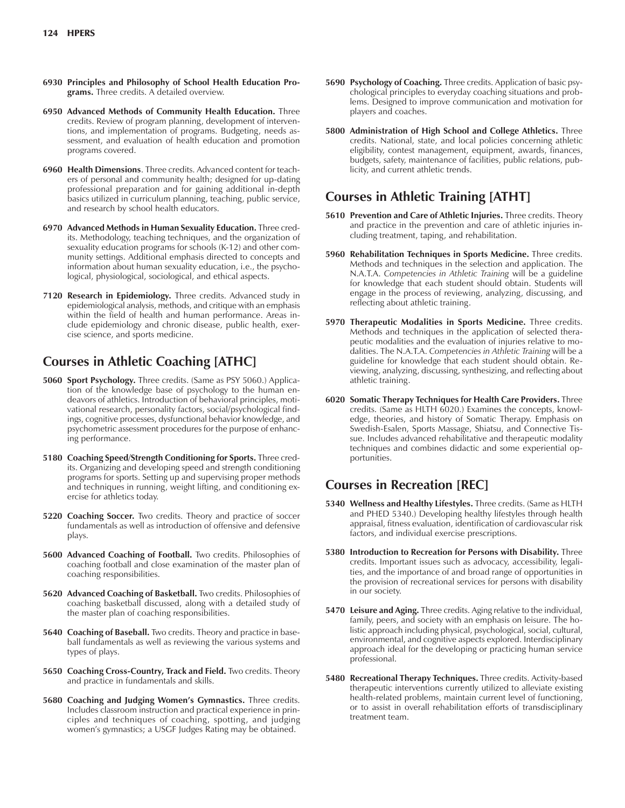- **6930 Principles and Philosophy of School Health Education Programs.** Three credits. A detailed overview.
- **6950 Advanced Methods of Community Health Education.** Three credits. Review of program planning, development of interventions, and implementation of programs. Budgeting, needs assessment, and evaluation of health education and promotion programs covered.
- **6960 Health Dimensions**. Three credits. Advanced content for teachers of personal and community health; designed for up-dating professional preparation and for gaining additional in-depth basics utilized in curriculum planning, teaching, public service, and research by school health educators.
- **6970 Advanced Methods in Human Sexuality Education.** Three credits. Methodology, teaching techniques, and the organization of sexuality education programs for schools (K-12) and other community settings. Additional emphasis directed to concepts and information about human sexuality education, i.e., the psychological, physiological, sociological, and ethical aspects.
- **7120 Research in Epidemiology.** Three credits. Advanced study in epidemiological analysis, methods, and critique with an emphasis within the field of health and human performance. Areas include epidemiology and chronic disease, public health, exercise science, and sports medicine.

# **Courses in Athletic Coaching [ATHC]**

- **5060 Sport Psychology.** Three credits. (Same as PSY 5060.) Application of the knowledge base of psychology to the human endeavors of athletics. Introduction of behavioral principles, motivational research, personality factors, social/psychological findings, cognitive processes, dysfunctional behavior knowledge, and psychometric assessment procedures for the purpose of enhancing performance.
- **5180 Coaching Speed/Strength Conditioning for Sports.** Three credits. Organizing and developing speed and strength conditioning programs for sports. Setting up and supervising proper methods and techniques in running, weight lifting, and conditioning exercise for athletics today.
- **5220 Coaching Soccer.** Two credits. Theory and practice of soccer fundamentals as well as introduction of offensive and defensive plays.
- **5600 Advanced Coaching of Football.** Two credits. Philosophies of coaching football and close examination of the master plan of coaching responsibilities.
- **5620 Advanced Coaching of Basketball.** Two credits. Philosophies of coaching basketball discussed, along with a detailed study of the master plan of coaching responsibilities.
- **5640 Coaching of Baseball.** Two credits. Theory and practice in baseball fundamentals as well as reviewing the various systems and types of plays.
- **5650 Coaching Cross-Country, Track and Field.** Two credits. Theory and practice in fundamentals and skills.
- 5680 Coaching and Judging Women's Gymnastics. Three credits. Includes classroom instruction and practical experience in principles and techniques of coaching, spotting, and judging womenís gymnastics; a USGF Judges Rating may be obtained.
- **5690 Psychology of Coaching.** Three credits. Application of basic psychological principles to everyday coaching situations and problems. Designed to improve communication and motivation for players and coaches.
- **5800 Administration of High School and College Athletics.** Three credits. National, state, and local policies concerning athletic eligibility, contest management, equipment, awards, finances, budgets, safety, maintenance of facilities, public relations, publicity, and current athletic trends.

# **Courses in Athletic Training [ATHT]**

- **5610 Prevention and Care of Athletic Injuries.** Three credits. Theory and practice in the prevention and care of athletic injuries including treatment, taping, and rehabilitation.
- **5960 Rehabilitation Techniques in Sports Medicine.** Three credits. Methods and techniques in the selection and application. The N.A.T.A. *Competencies in Athletic Training* will be a guideline for knowledge that each student should obtain. Students will engage in the process of reviewing, analyzing, discussing, and reflecting about athletic training.
- **5970 Therapeutic Modalities in Sports Medicine.** Three credits. Methods and techniques in the application of selected therapeutic modalities and the evaluation of injuries relative to modalities. The N.A.T.A. *Competencies in Athletic Training* will be a guideline for knowledge that each student should obtain. Reviewing, analyzing, discussing, synthesizing, and reflecting about athletic training.
- **6020 Somatic Therapy Techniques for Health Care Providers.** Three credits. (Same as HLTH 6020.) Examines the concepts, knowledge, theories, and history of Somatic Therapy. Emphasis on Swedish-Esalen, Sports Massage, Shiatsu, and Connective Tissue. Includes advanced rehabilitative and therapeutic modality techniques and combines didactic and some experiential opportunities.

# **Courses in Recreation [REC]**

- **5340 Wellness and Healthy Lifestyles.** Three credits. (Same as HLTH and PHED 5340.) Developing healthy lifestyles through health appraisal, fitness evaluation, identification of cardiovascular risk factors, and individual exercise prescriptions.
- **5380 Introduction to Recreation for Persons with Disability.** Three credits. Important issues such as advocacy, accessibility, legalities, and the importance of and broad range of opportunities in the provision of recreational services for persons with disability in our society.
- **5470 Leisure and Aging.** Three credits. Aging relative to the individual, family, peers, and society with an emphasis on leisure. The holistic approach including physical, psychological, social, cultural, environmental, and cognitive aspects explored. Interdisciplinary approach ideal for the developing or practicing human service professional.
- **5480 Recreational Therapy Techniques.** Three credits. Activity-based therapeutic interventions currently utilized to alleviate existing health-related problems, maintain current level of functioning, or to assist in overall rehabilitation efforts of transdisciplinary treatment team.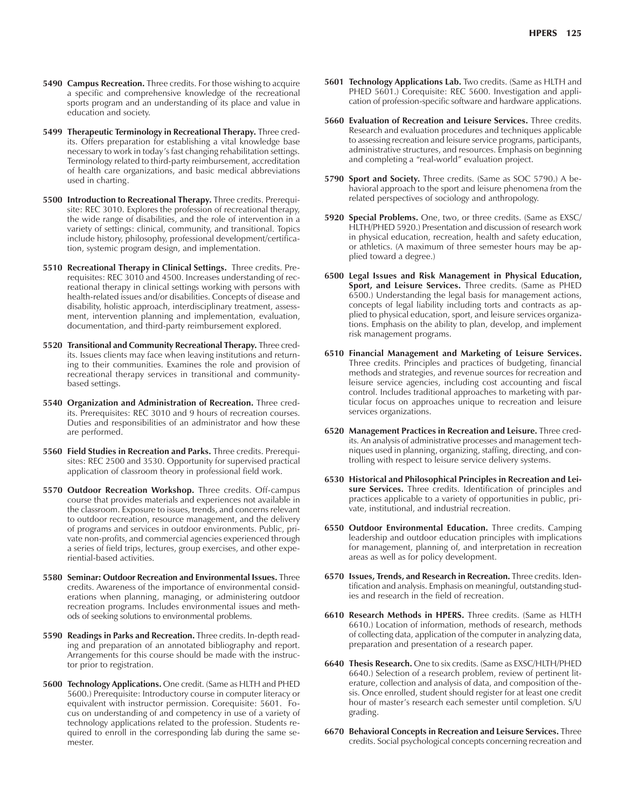- **5490 Campus Recreation.** Three credits. For those wishing to acquire a specific and comprehensive knowledge of the recreational sports program and an understanding of its place and value in education and society.
- **5499 Therapeutic Terminology in Recreational Therapy.** Three credits. Offers preparation for establishing a vital knowledge base necessary to work in today's fast changing rehabilitation settings. Terminology related to third-party reimbursement, accreditation of health care organizations, and basic medical abbreviations used in charting.
- **5500 Introduction to Recreational Therapy.** Three credits. Prerequisite: REC 3010. Explores the profession of recreational therapy, the wide range of disabilities, and the role of intervention in a variety of settings: clinical, community, and transitional. Topics include history, philosophy, professional development/certification, systemic program design, and implementation.
- **5510 Recreational Therapy in Clinical Settings.** Three credits. Prerequisites: REC 3010 and 4500. Increases understanding of recreational therapy in clinical settings working with persons with health-related issues and/or disabilities. Concepts of disease and disability, holistic approach, interdisciplinary treatment, assessment, intervention planning and implementation, evaluation, documentation, and third-party reimbursement explored.
- **5520 Transitional and Community Recreational Therapy.** Three credits. Issues clients may face when leaving institutions and returning to their communities. Examines the role and provision of recreational therapy services in transitional and communitybased settings.
- **5540 Organization and Administration of Recreation.** Three credits. Prerequisites: REC 3010 and 9 hours of recreation courses. Duties and responsibilities of an administrator and how these are performed.
- **5560 Field Studies in Recreation and Parks.** Three credits. Prerequisites: REC 2500 and 3530. Opportunity for supervised practical application of classroom theory in professional field work.
- **5570 Outdoor Recreation Workshop.** Three credits. Off-campus course that provides materials and experiences not available in the classroom. Exposure to issues, trends, and concerns relevant to outdoor recreation, resource management, and the delivery of programs and services in outdoor environments. Public, private non-profits, and commercial agencies experienced through a series of field trips, lectures, group exercises, and other experiential-based activities.
- **5580 Seminar: Outdoor Recreation and Environmental Issues.** Three credits. Awareness of the importance of environmental considerations when planning, managing, or administering outdoor recreation programs. Includes environmental issues and methods of seeking solutions to environmental problems.
- **5590 Readings in Parks and Recreation.** Three credits. In-depth reading and preparation of an annotated bibliography and report. Arrangements for this course should be made with the instructor prior to registration.
- **5600 Technology Applications.** One credit. (Same as HLTH and PHED 5600.) Prerequisite: Introductory course in computer literacy or equivalent with instructor permission. Corequisite: 5601. Focus on understanding of and competency in use of a variety of technology applications related to the profession. Students required to enroll in the corresponding lab during the same semester.
- **5601 Technology Applications Lab.** Two credits. (Same as HLTH and PHED 5601.) Corequisite: REC 5600. Investigation and application of profession-specific software and hardware applications.
- **5660 Evaluation of Recreation and Leisure Services.** Three credits. Research and evaluation procedures and techniques applicable to assessing recreation and leisure service programs, participants, administrative structures, and resources. Emphasis on beginning and completing a "real-world" evaluation project.
- **5790 Sport and Society.** Three credits. (Same as SOC 5790.) A behavioral approach to the sport and leisure phenomena from the related perspectives of sociology and anthropology.
- **5920 Special Problems.** One, two, or three credits. (Same as EXSC/ HLTH/PHED 5920.) Presentation and discussion of research work in physical education, recreation, health and safety education, or athletics. (A maximum of three semester hours may be applied toward a degree.)
- **6500 Legal Issues and Risk Management in Physical Education, Sport, and Leisure Services.** Three credits. (Same as PHED 6500.) Understanding the legal basis for management actions, concepts of legal liability including torts and contracts as applied to physical education, sport, and leisure services organizations. Emphasis on the ability to plan, develop, and implement risk management programs.
- **6510 Financial Management and Marketing of Leisure Services.** Three credits. Principles and practices of budgeting, financial methods and strategies, and revenue sources for recreation and leisure service agencies, including cost accounting and fiscal control. Includes traditional approaches to marketing with particular focus on approaches unique to recreation and leisure services organizations.
- **6520 Management Practices in Recreation and Leisure.** Three credits. An analysis of administrative processes and management techniques used in planning, organizing, staffing, directing, and controlling with respect to leisure service delivery systems.
- **6530 Historical and Philosophical Principles in Recreation and Leisure Services.** Three credits. Identification of principles and practices applicable to a variety of opportunities in public, private, institutional, and industrial recreation.
- **6550 Outdoor Environmental Education.** Three credits. Camping leadership and outdoor education principles with implications for management, planning of, and interpretation in recreation areas as well as for policy development.
- **6570 Issues, Trends, and Research in Recreation.** Three credits. Identification and analysis. Emphasis on meaningful, outstanding studies and research in the field of recreation.
- **6610 Research Methods in HPERS.** Three credits. (Same as HLTH 6610.) Location of information, methods of research, methods of collecting data, application of the computer in analyzing data, preparation and presentation of a research paper.
- **6640 Thesis Research.** One to six credits. (Same as EXSC/HLTH/PHED 6640.) Selection of a research problem, review of pertinent literature, collection and analysis of data, and composition of thesis. Once enrolled, student should register for at least one credit hour of master's research each semester until completion. S/U grading.
- **6670 Behavioral Concepts in Recreation and Leisure Services.** Three credits. Social psychological concepts concerning recreation and